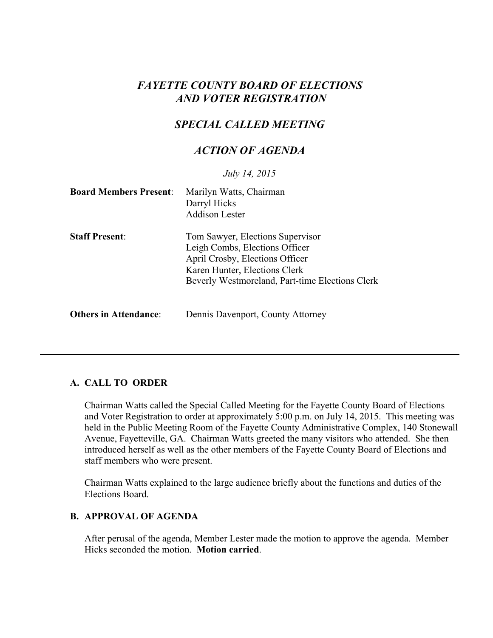# *FAYETTE COUNTY BOARD OF ELECTIONS AND VOTER REGISTRATION*

# *SPECIAL CALLED MEETING*

## *ACTION OF AGENDA*

*July 14, 2015*

| <b>Board Members Present:</b> | Marilyn Watts, Chairman<br>Darryl Hicks<br><b>Addison Lester</b>                                                                                                                          |
|-------------------------------|-------------------------------------------------------------------------------------------------------------------------------------------------------------------------------------------|
| <b>Staff Present:</b>         | Tom Sawyer, Elections Supervisor<br>Leigh Combs, Elections Officer<br>April Crosby, Elections Officer<br>Karen Hunter, Elections Clerk<br>Beverly Westmoreland, Part-time Elections Clerk |
| <b>Others in Attendance:</b>  | Dennis Davenport, County Attorney                                                                                                                                                         |

### **A. CALL TO ORDER**

Chairman Watts called the Special Called Meeting for the Fayette County Board of Elections and Voter Registration to order at approximately 5:00 p.m. on July 14, 2015. This meeting was held in the Public Meeting Room of the Fayette County Administrative Complex, 140 Stonewall Avenue, Fayetteville, GA. Chairman Watts greeted the many visitors who attended. She then introduced herself as well as the other members of the Fayette County Board of Elections and staff members who were present.

Chairman Watts explained to the large audience briefly about the functions and duties of the Elections Board.

#### **B. APPROVAL OF AGENDA**

After perusal of the agenda, Member Lester made the motion to approve the agenda. Member Hicks seconded the motion. **Motion carried**.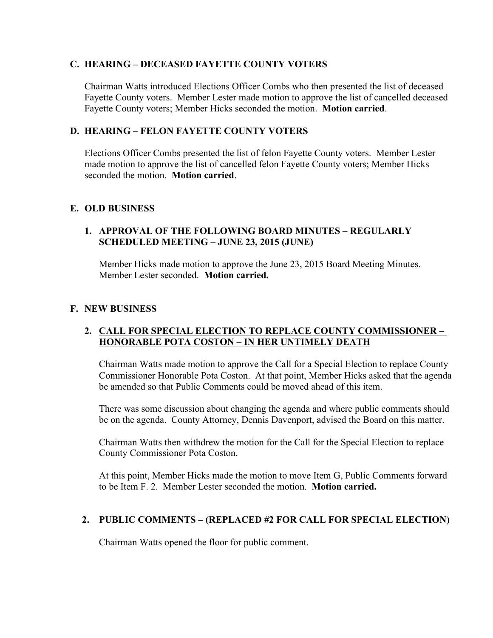### **C. HEARING – DECEASED FAYETTE COUNTY VOTERS**

Chairman Watts introduced Elections Officer Combs who then presented the list of deceased Fayette County voters. Member Lester made motion to approve the list of cancelled deceased Fayette County voters; Member Hicks seconded the motion. **Motion carried**.

### **D. HEARING – FELON FAYETTE COUNTY VOTERS**

Elections Officer Combs presented the list of felon Fayette County voters. Member Lester made motion to approve the list of cancelled felon Fayette County voters; Member Hicks seconded the motion. **Motion carried**.

## **E. OLD BUSINESS**

## **1. APPROVAL OF THE FOLLOWING BOARD MINUTES – REGULARLY SCHEDULED MEETING – JUNE 23, 2015 (JUNE)**

Member Hicks made motion to approve the June 23, 2015 Board Meeting Minutes. Member Lester seconded. **Motion carried.**

### **F. NEW BUSINESS**

### **2. CALL FOR SPECIAL ELECTION TO REPLACE COUNTY COMMISSIONER – HONORABLE POTA COSTON – IN HER UNTIMELY DEATH**

Chairman Watts made motion to approve the Call for a Special Election to replace County Commissioner Honorable Pota Coston. At that point, Member Hicks asked that the agenda be amended so that Public Comments could be moved ahead of this item.

There was some discussion about changing the agenda and where public comments should be on the agenda. County Attorney, Dennis Davenport, advised the Board on this matter.

Chairman Watts then withdrew the motion for the Call for the Special Election to replace County Commissioner Pota Coston.

At this point, Member Hicks made the motion to move Item G, Public Comments forward to be Item F. 2. Member Lester seconded the motion. **Motion carried.**

## **2. PUBLIC COMMENTS – (REPLACED #2 FOR CALL FOR SPECIAL ELECTION)**

Chairman Watts opened the floor for public comment.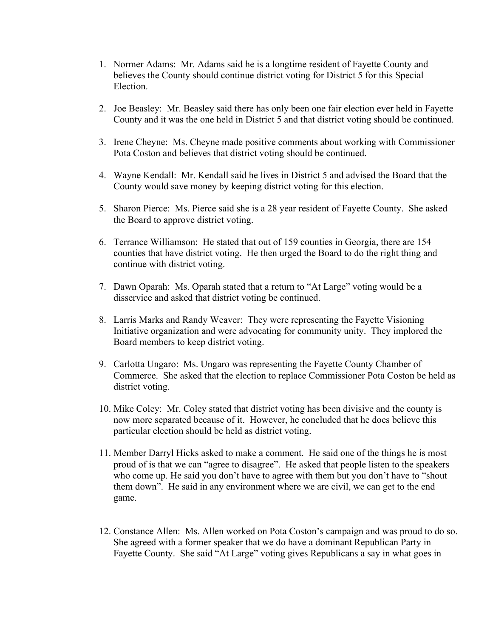- 1. Normer Adams: Mr. Adams said he is a longtime resident of Fayette County and believes the County should continue district voting for District 5 for this Special Election.
- 2. Joe Beasley: Mr. Beasley said there has only been one fair election ever held in Fayette County and it was the one held in District 5 and that district voting should be continued.
- 3. Irene Cheyne: Ms. Cheyne made positive comments about working with Commissioner Pota Coston and believes that district voting should be continued.
- 4. Wayne Kendall: Mr. Kendall said he lives in District 5 and advised the Board that the County would save money by keeping district voting for this election.
- 5. Sharon Pierce: Ms. Pierce said she is a 28 year resident of Fayette County. She asked the Board to approve district voting.
- 6. Terrance Williamson: He stated that out of 159 counties in Georgia, there are 154 counties that have district voting. He then urged the Board to do the right thing and continue with district voting.
- 7. Dawn Oparah: Ms. Oparah stated that a return to "At Large" voting would be a disservice and asked that district voting be continued.
- 8. Larris Marks and Randy Weaver: They were representing the Fayette Visioning Initiative organization and were advocating for community unity. They implored the Board members to keep district voting.
- 9. Carlotta Ungaro: Ms. Ungaro was representing the Fayette County Chamber of Commerce. She asked that the election to replace Commissioner Pota Coston be held as district voting.
- 10. Mike Coley: Mr. Coley stated that district voting has been divisive and the county is now more separated because of it. However, he concluded that he does believe this particular election should be held as district voting.
- 11. Member Darryl Hicks asked to make a comment. He said one of the things he is most proud of is that we can "agree to disagree". He asked that people listen to the speakers who come up. He said you don't have to agree with them but you don't have to "shout them down". He said in any environment where we are civil, we can get to the end game.
- 12. Constance Allen: Ms. Allen worked on Pota Coston's campaign and was proud to do so. She agreed with a former speaker that we do have a dominant Republican Party in Fayette County. She said "At Large" voting gives Republicans a say in what goes in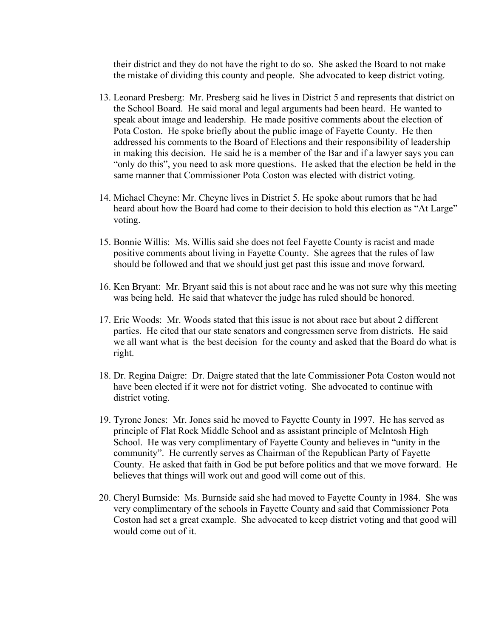their district and they do not have the right to do so. She asked the Board to not make the mistake of dividing this county and people. She advocated to keep district voting.

- 13. Leonard Presberg: Mr. Presberg said he lives in District 5 and represents that district on the School Board. He said moral and legal arguments had been heard. He wanted to speak about image and leadership. He made positive comments about the election of Pota Coston. He spoke briefly about the public image of Fayette County. He then addressed his comments to the Board of Elections and their responsibility of leadership in making this decision. He said he is a member of the Bar and if a lawyer says you can "only do this", you need to ask more questions. He asked that the election be held in the same manner that Commissioner Pota Coston was elected with district voting.
- 14. Michael Cheyne: Mr. Cheyne lives in District 5. He spoke about rumors that he had heard about how the Board had come to their decision to hold this election as "At Large" voting.
- 15. Bonnie Willis: Ms. Willis said she does not feel Fayette County is racist and made positive comments about living in Fayette County. She agrees that the rules of law should be followed and that we should just get past this issue and move forward.
- 16. Ken Bryant: Mr. Bryant said this is not about race and he was not sure why this meeting was being held. He said that whatever the judge has ruled should be honored.
- 17. Eric Woods: Mr. Woods stated that this issue is not about race but about 2 different parties. He cited that our state senators and congressmen serve from districts. He said we all want what is the best decision for the county and asked that the Board do what is right.
- 18. Dr. Regina Daigre: Dr. Daigre stated that the late Commissioner Pota Coston would not have been elected if it were not for district voting. She advocated to continue with district voting.
- 19. Tyrone Jones: Mr. Jones said he moved to Fayette County in 1997. He has served as principle of Flat Rock Middle School and as assistant principle of McIntosh High School. He was very complimentary of Fayette County and believes in "unity in the community". He currently serves as Chairman of the Republican Party of Fayette County. He asked that faith in God be put before politics and that we move forward. He believes that things will work out and good will come out of this.
- 20. Cheryl Burnside: Ms. Burnside said she had moved to Fayette County in 1984. She was very complimentary of the schools in Fayette County and said that Commissioner Pota Coston had set a great example. She advocated to keep district voting and that good will would come out of it.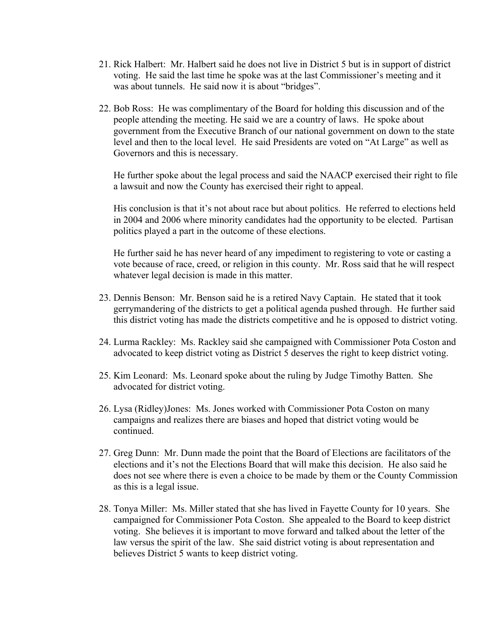- 21. Rick Halbert: Mr. Halbert said he does not live in District 5 but is in support of district voting. He said the last time he spoke was at the last Commissioner's meeting and it was about tunnels. He said now it is about "bridges".
- 22. Bob Ross: He was complimentary of the Board for holding this discussion and of the people attending the meeting. He said we are a country of laws. He spoke about government from the Executive Branch of our national government on down to the state level and then to the local level. He said Presidents are voted on "At Large" as well as Governors and this is necessary.

He further spoke about the legal process and said the NAACP exercised their right to file a lawsuit and now the County has exercised their right to appeal.

 His conclusion is that it's not about race but about politics. He referred to elections held in 2004 and 2006 where minority candidates had the opportunity to be elected. Partisan politics played a part in the outcome of these elections.

 He further said he has never heard of any impediment to registering to vote or casting a vote because of race, creed, or religion in this county. Mr. Ross said that he will respect whatever legal decision is made in this matter.

- 23. Dennis Benson: Mr. Benson said he is a retired Navy Captain. He stated that it took gerrymandering of the districts to get a political agenda pushed through. He further said this district voting has made the districts competitive and he is opposed to district voting.
- 24. Lurma Rackley: Ms. Rackley said she campaigned with Commissioner Pota Coston and advocated to keep district voting as District 5 deserves the right to keep district voting.
- 25. Kim Leonard: Ms. Leonard spoke about the ruling by Judge Timothy Batten. She advocated for district voting.
- 26. Lysa (Ridley)Jones: Ms. Jones worked with Commissioner Pota Coston on many campaigns and realizes there are biases and hoped that district voting would be continued.
- 27. Greg Dunn: Mr. Dunn made the point that the Board of Elections are facilitators of the elections and it's not the Elections Board that will make this decision. He also said he does not see where there is even a choice to be made by them or the County Commission as this is a legal issue.
- 28. Tonya Miller: Ms. Miller stated that she has lived in Fayette County for 10 years. She campaigned for Commissioner Pota Coston. She appealed to the Board to keep district voting. She believes it is important to move forward and talked about the letter of the law versus the spirit of the law. She said district voting is about representation and believes District 5 wants to keep district voting.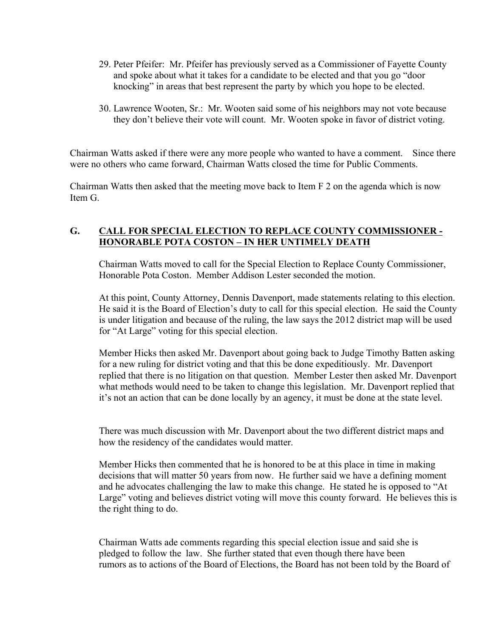- 29. Peter Pfeifer: Mr. Pfeifer has previously served as a Commissioner of Fayette County and spoke about what it takes for a candidate to be elected and that you go "door knocking" in areas that best represent the party by which you hope to be elected.
- 30. Lawrence Wooten, Sr.: Mr. Wooten said some of his neighbors may not vote because they don't believe their vote will count. Mr. Wooten spoke in favor of district voting.

Chairman Watts asked if there were any more people who wanted to have a comment. Since there were no others who came forward, Chairman Watts closed the time for Public Comments.

Chairman Watts then asked that the meeting move back to Item F 2 on the agenda which is now Item G.

## **G. CALL FOR SPECIAL ELECTION TO REPLACE COUNTY COMMISSIONER - HONORABLE POTA COSTON – IN HER UNTIMELY DEATH**

Chairman Watts moved to call for the Special Election to Replace County Commissioner, Honorable Pota Coston. Member Addison Lester seconded the motion.

At this point, County Attorney, Dennis Davenport, made statements relating to this election. He said it is the Board of Election's duty to call for this special election. He said the County is under litigation and because of the ruling, the law says the 2012 district map will be used for "At Large" voting for this special election.

Member Hicks then asked Mr. Davenport about going back to Judge Timothy Batten asking for a new ruling for district voting and that this be done expeditiously. Mr. Davenport replied that there is no litigation on that question. Member Lester then asked Mr. Davenport what methods would need to be taken to change this legislation. Mr. Davenport replied that it's not an action that can be done locally by an agency, it must be done at the state level.

There was much discussion with Mr. Davenport about the two different district maps and how the residency of the candidates would matter.

Member Hicks then commented that he is honored to be at this place in time in making decisions that will matter 50 years from now. He further said we have a defining moment and he advocates challenging the law to make this change. He stated he is opposed to "At Large" voting and believes district voting will move this county forward. He believes this is the right thing to do.

Chairman Watts ade comments regarding this special election issue and said she is pledged to follow the law. She further stated that even though there have been rumors as to actions of the Board of Elections, the Board has not been told by the Board of